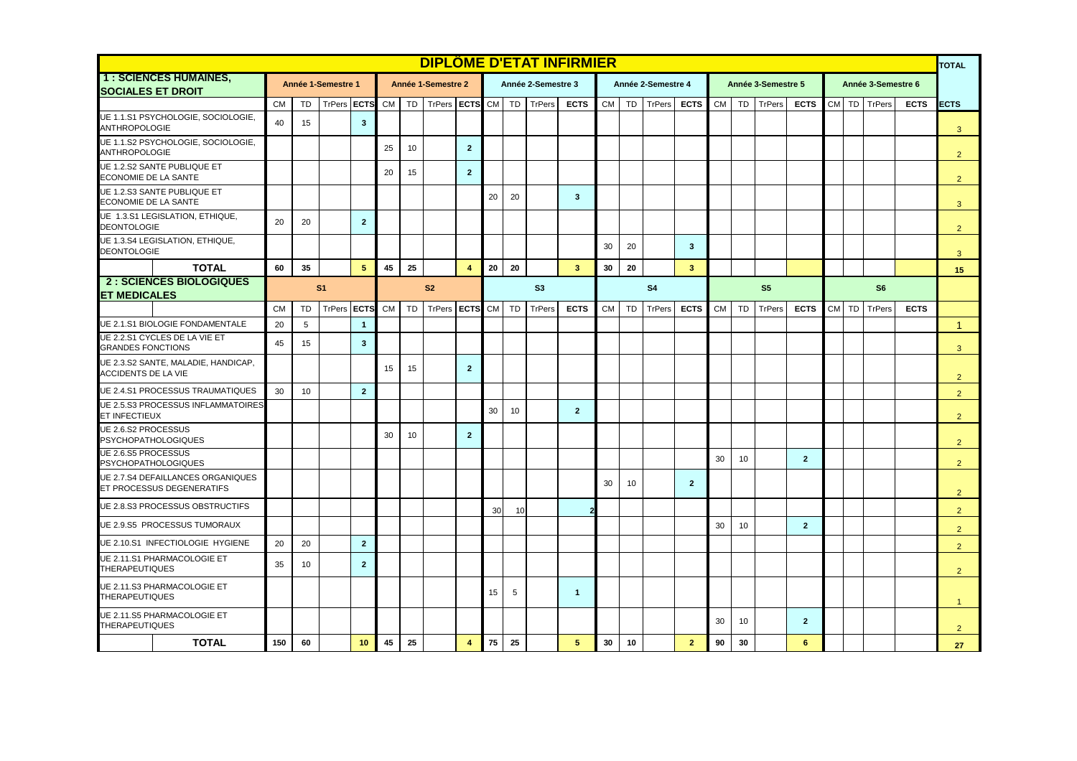|                                                                |           |                |                    |                         |           |           |                    |                         |           |       |                    | <b>DIPLÔME D'ETAT INFIRMIER</b> |                |           |                    |                         |           |           |                    |                |    |    |                    |             | <b>TOTAL</b>   |
|----------------------------------------------------------------|-----------|----------------|--------------------|-------------------------|-----------|-----------|--------------------|-------------------------|-----------|-------|--------------------|---------------------------------|----------------|-----------|--------------------|-------------------------|-----------|-----------|--------------------|----------------|----|----|--------------------|-------------|----------------|
| 1 : SCIENCES HUMAINES,<br><b>SOCIALES ET DROIT</b>             |           |                | Année 1-Semestre 1 |                         |           |           | Année 1-Semestre 2 |                         |           |       | Année 2-Semestre 3 |                                 |                |           | Année 2-Semestre 4 |                         |           |           | Année 3-Semestre 5 |                |    |    | Année 3-Semestre 6 |             |                |
|                                                                | <b>CM</b> | <b>TD</b>      | TrPers             | <b>ECTS</b>             | <b>CM</b> | <b>TD</b> | <b>TrPers</b>      | <b>ECTS</b>             |           | CM TD | <b>TrPers</b>      | <b>ECTS</b>                     | <b>CM</b>      | <b>TD</b> | TrPers             | <b>ECTS</b>             | <b>CM</b> | <b>TD</b> | TrPers             | <b>ECTS</b>    | CM |    | TD TrPers          | <b>ECTS</b> | <b>ECTS</b>    |
| UE 1.1.S1 PSYCHOLOGIE, SOCIOLOGIE,<br><b>ANTHROPOLOGIE</b>     | 40        | 15             |                    | $\overline{\mathbf{3}}$ |           |           |                    |                         |           |       |                    |                                 |                |           |                    |                         |           |           |                    |                |    |    |                    |             | $\mathbf{3}$   |
| UE 1.1.S2 PSYCHOLOGIE, SOCIOLOGIE,<br><b>ANTHROPOLOGIE</b>     |           |                |                    |                         | 25        | 10        |                    | $\overline{2}$          |           |       |                    |                                 |                |           |                    |                         |           |           |                    |                |    |    |                    |             | 2              |
| UE 1.2.S2 SANTE PUBLIQUE ET<br>ECONOMIE DE LA SANTE            |           |                |                    |                         | 20        | 15        |                    | $\mathbf{2}$            |           |       |                    |                                 |                |           |                    |                         |           |           |                    |                |    |    |                    |             | 2              |
| UE 1.2.S3 SANTE PUBLIQUE ET<br>ECONOMIE DE LA SANTE            |           |                |                    |                         |           |           |                    |                         | 20        | 20    |                    | $\mathbf{3}$                    |                |           |                    |                         |           |           |                    |                |    |    |                    |             | 3              |
| UE 1.3.S1 LEGISLATION, ETHIQUE,<br><b>DEONTOLOGIE</b>          | 20        | 20             |                    | $\overline{2}$          |           |           |                    |                         |           |       |                    |                                 |                |           |                    |                         |           |           |                    |                |    |    |                    |             | $\overline{2}$ |
| UE 1.3.S4 LEGISLATION, ETHIQUE,<br><b>DEONTOLOGIE</b>          |           |                |                    |                         |           |           |                    |                         |           |       |                    |                                 | 30             | 20        |                    | $\mathbf{3}$            |           |           |                    |                |    |    |                    |             | 3              |
| <b>TOTAL</b>                                                   | 60        | 35             |                    | 5                       | 45        | 25        |                    | $\overline{4}$          | 20        | 20    |                    | 3                               | 30             | 20        |                    | $\overline{\mathbf{3}}$ |           |           |                    |                |    |    |                    |             | 15             |
| <b>2: SCIENCES BIOLOGIQUES</b><br><b>ET MEDICALES</b>          |           | S <sub>1</sub> | S <sub>2</sub>     |                         |           |           | S3                 |                         |           |       |                    |                                 | S <sub>4</sub> |           | S <sub>5</sub>     |                         |           |           |                    |                |    |    |                    |             |                |
|                                                                | <b>CM</b> | <b>TD</b>      | <b>TrPers</b>      | <b>ECTS</b>             | <b>CM</b> | TD        | TrPers             | <b>ECTS</b>             | <b>CM</b> | TD    | <b>TrPers</b>      | <b>ECTS</b>                     | <b>CM</b>      | TD        | TrPers             | <b>ECTS</b>             | <b>CM</b> | TD        | TrPers             | <b>ECTS</b>    | CM | TD | TrPers             | <b>ECTS</b> |                |
| UE 2.1.S1 BIOLOGIE FONDAMENTALE                                | 20        | 5              |                    | $\overline{1}$          |           |           |                    |                         |           |       |                    |                                 |                |           |                    |                         |           |           |                    |                |    |    |                    |             | 1              |
| UE 2.2.S1 CYCLES DE LA VIE ET<br><b>GRANDES FONCTIONS</b>      | 45        | 15             |                    | $\overline{\mathbf{3}}$ |           |           |                    |                         |           |       |                    |                                 |                |           |                    |                         |           |           |                    |                |    |    |                    |             | 3              |
| UE 2.3.S2 SANTE, MALADIE, HANDICAP,<br>ACCIDENTS DE LA VIE     |           |                |                    |                         | 15        | 15        |                    | $\overline{2}$          |           |       |                    |                                 |                |           |                    |                         |           |           |                    |                |    |    |                    |             | $\overline{2}$ |
| UE 2.4.S1 PROCESSUS TRAUMATIQUES                               | 30        | 10             |                    | $\overline{2}$          |           |           |                    |                         |           |       |                    |                                 |                |           |                    |                         |           |           |                    |                |    |    |                    |             | $2^{\circ}$    |
| UE 2.5.S3 PROCESSUS INFLAMMATOIRES<br>ET INFECTIEUX            |           |                |                    |                         |           |           |                    |                         | 30        | 10    |                    | $\overline{2}$                  |                |           |                    |                         |           |           |                    |                |    |    |                    |             | $\overline{2}$ |
| UE 2.6.S2 PROCESSUS<br><b>PSYCHOPATHOLOGIQUES</b>              |           |                |                    |                         | 30        | 10        |                    | $\overline{2}$          |           |       |                    |                                 |                |           |                    |                         |           |           |                    |                |    |    |                    |             | 2              |
| UE 2.6.S5 PROCESSUS<br><b>PSYCHOPATHOLOGIQUES</b>              |           |                |                    |                         |           |           |                    |                         |           |       |                    |                                 |                |           |                    |                         | 30        | 10        |                    | $\overline{2}$ |    |    |                    |             | $\overline{2}$ |
| UE 2.7.S4 DEFAILLANCES ORGANIQUES<br>ET PROCESSUS DEGENERATIFS |           |                |                    |                         |           |           |                    |                         |           |       |                    |                                 | 30             | 10        |                    | $\overline{2}$          |           |           |                    |                |    |    |                    |             | 2              |
| UE 2.8.S3 PROCESSUS OBSTRUCTIFS                                |           |                |                    |                         |           |           |                    |                         | 30        | 10    |                    |                                 |                |           |                    |                         |           |           |                    |                |    |    |                    |             | $\overline{2}$ |
| UE 2.9.S5 PROCESSUS TUMORAUX                                   |           |                |                    |                         |           |           |                    |                         |           |       |                    |                                 |                |           |                    |                         | 30        | 10        |                    | $\overline{2}$ |    |    |                    |             | $\overline{2}$ |
| UE 2.10.S1 INFECTIOLOGIE HYGIENE                               | 20        | 20             |                    | $\overline{2}$          |           |           |                    |                         |           |       |                    |                                 |                |           |                    |                         |           |           |                    |                |    |    |                    |             | 2              |
| UE 2.11.S1 PHARMACOLOGIE ET<br><b>THERAPEUTIQUES</b>           | 35        | 10             |                    | $\overline{2}$          |           |           |                    |                         |           |       |                    |                                 |                |           |                    |                         |           |           |                    |                |    |    |                    |             | 2              |
| UE 2.11.S3 PHARMACOLOGIE ET<br><b>THERAPEUTIQUES</b>           |           |                |                    |                         |           |           |                    |                         | 15        | 5     |                    | $\mathbf{1}$                    |                |           |                    |                         |           |           |                    |                |    |    |                    |             | $\mathbf{1}$   |
| UE 2.11.S5 PHARMACOLOGIE ET<br><b>THERAPEUTIQUES</b>           |           |                |                    |                         |           |           |                    |                         |           |       |                    |                                 |                |           |                    |                         | 30        | 10        |                    | $\overline{2}$ |    |    |                    |             | $\overline{2}$ |
| <b>TOTAL</b>                                                   | 150       | 60             |                    | 10                      | 45        | 25        |                    | $\overline{\mathbf{4}}$ | 75        | 25    |                    | 5                               | 30             | 10        |                    | $\overline{2}$          | 90        | 30        |                    | 6              |    |    |                    |             | 27             |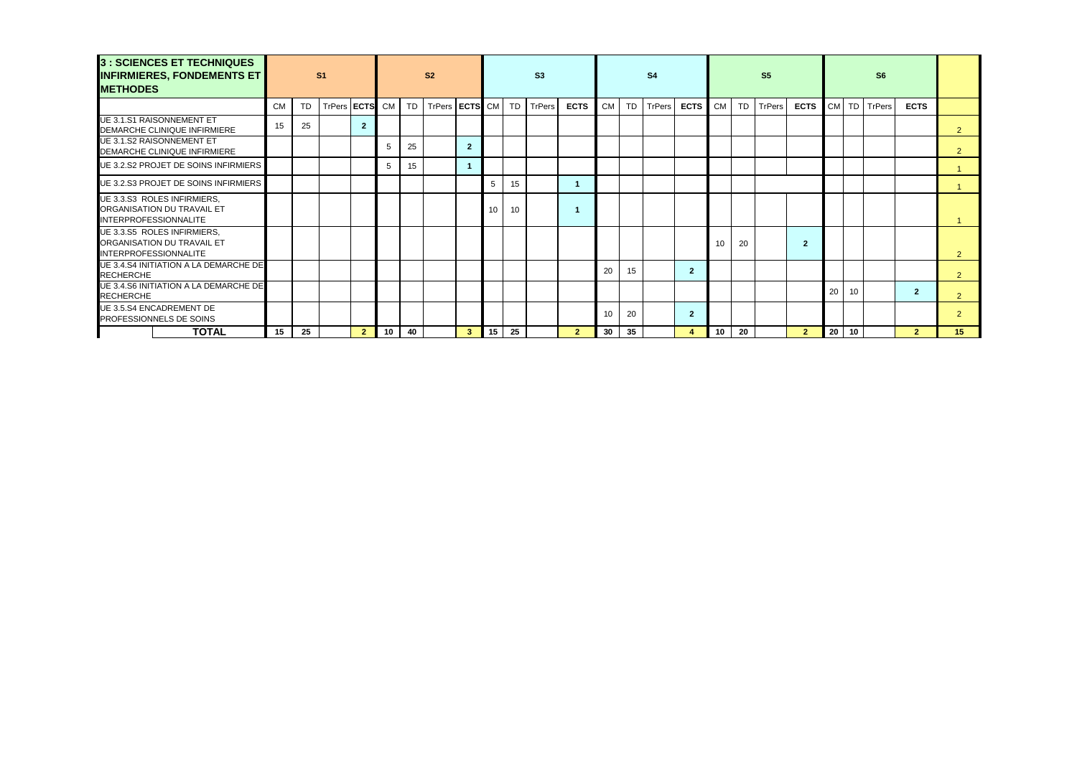| 3 : SCIENCES ET TECHNIQUES<br><b>INFIRMIERES, FONDEMENTS ET</b><br><b>METHODES</b>        |           |           | S <sub>1</sub> |                |    |    | S <sub>2</sub>        |                | S3 |           |        |              |                 | S <sub>4</sub> |               |                |    |    | S <sub>5</sub> |                |    |    |              |                |                 |
|-------------------------------------------------------------------------------------------|-----------|-----------|----------------|----------------|----|----|-----------------------|----------------|----|-----------|--------|--------------|-----------------|----------------|---------------|----------------|----|----|----------------|----------------|----|----|--------------|----------------|-----------------|
|                                                                                           | <b>CM</b> | <b>TD</b> | TrPers ECTS CM |                |    | TD | TrPers <b>ECTS</b> CM |                |    | <b>TD</b> | TrPers | <b>ECTS</b>  | <b>CM</b>       | <b>TD</b>      | <b>TrPers</b> | <b>ECTS</b>    |    |    | CM TD TrPers   | <b>ECTS</b>    |    |    | CM TD TrPers | <b>ECTS</b>    |                 |
| <b>UE 3.1.S1 RAISONNEMENT ET</b><br>DEMARCHE CLINIQUE INFIRMIERE                          | 15        | 25        |                | $\overline{2}$ |    |    |                       |                |    |           |        |              |                 |                |               |                |    |    |                |                |    |    |              |                | $\overline{2}$  |
| <b>UE 3.1.S2 RAISONNEMENT ET</b><br>DEMARCHE CLINIQUE INFIRMIERE                          |           |           |                |                | 5  | 25 |                       | $\overline{2}$ |    |           |        |              |                 |                |               |                |    |    |                |                |    |    |              |                |                 |
| UE 3.2.S2 PROJET DE SOINS INFIRMIERS                                                      |           |           |                |                | 5  | 15 |                       |                |    |           |        |              |                 |                |               |                |    |    |                |                |    |    |              |                |                 |
| UE 3.2.S3 PROJET DE SOINS INFIRMIERS                                                      |           |           |                |                |    |    |                       |                | 5  | 15        |        | -1           |                 |                |               |                |    |    |                |                |    |    |              |                |                 |
| UE 3.3.S3 ROLES INFIRMIERS.<br>ORGANISATION DU TRAVAIL ET<br><b>INTERPROFESSIONNALITE</b> |           |           |                |                |    |    |                       |                | 10 | 10        |        | -1           |                 |                |               |                |    |    |                |                |    |    |              |                |                 |
| UE 3.3.S5 ROLES INFIRMIERS.<br>ORGANISATION DU TRAVAIL ET<br><b>INTERPROFESSIONNALITE</b> |           |           |                |                |    |    |                       |                |    |           |        |              |                 |                |               |                | 10 | 20 |                | $\overline{2}$ |    |    |              |                | $\overline{2}$  |
| <b>UE 3.4.S4 INITIATION A LA DEMARCHE DE</b><br><b>RECHERCHE</b>                          |           |           |                |                |    |    |                       |                |    |           |        |              | 20              | 15             |               | $\overline{2}$ |    |    |                |                |    |    |              |                | 2               |
| UE 3.4.S6 INITIATION A LA DEMARCHE DE<br><b>RECHERCHE</b>                                 |           |           |                |                |    |    |                       |                |    |           |        |              |                 |                |               |                |    |    |                |                | 20 | 10 |              | $\overline{2}$ | 2               |
| <b>UE 3.5.S4 ENCADREMENT DE</b><br>PROFESSIONNELS DE SOINS                                |           |           |                |                |    |    |                       |                |    |           |        |              | 10 <sup>1</sup> | 20             |               | $\overline{2}$ |    |    |                |                |    |    |              |                |                 |
| <b>TOTAL</b>                                                                              | 15        | 25        |                | $\overline{2}$ | 10 | 40 |                       | 3 <sup>2</sup> | 15 | 25        |        | $\mathbf{2}$ | 30              | 35             |               | 4              | 10 | 20 |                | $\overline{2}$ | 20 | 10 |              | $\mathbf{2}$   | 15 <sup>2</sup> |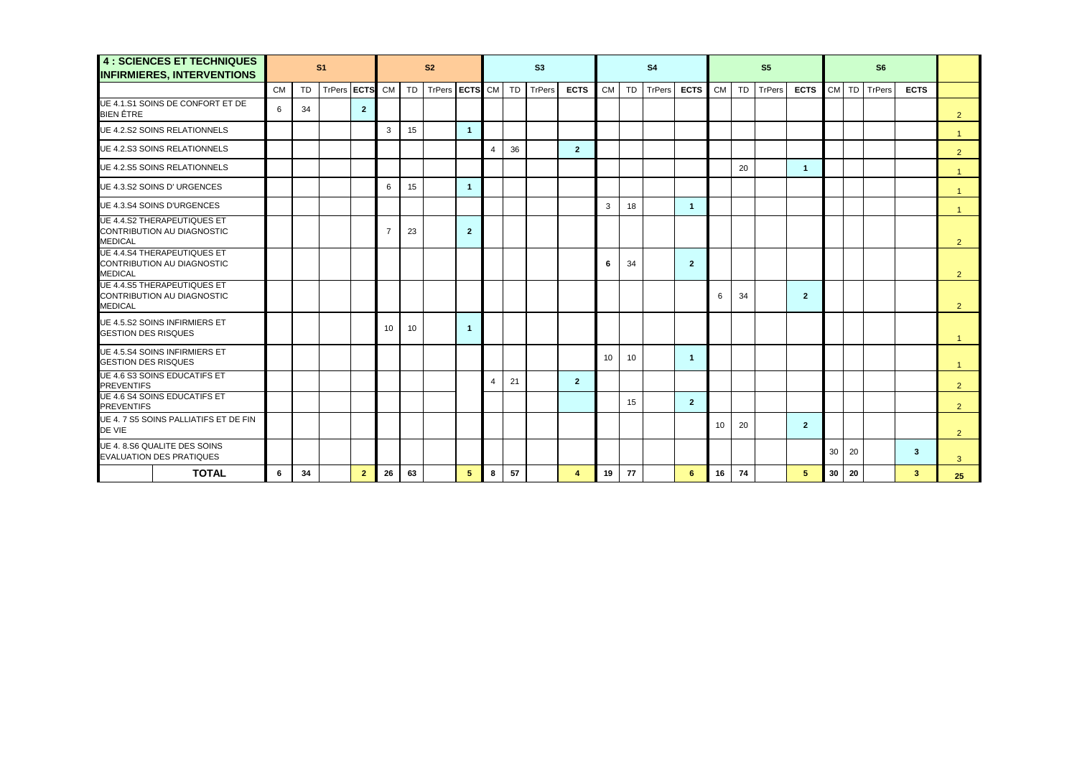| <b>4 : SCIENCES ET TECHNIQUES</b><br><b>INFIRMIERES, INTERVENTIONS</b>             |           |           | S <sub>1</sub> |                |                |    | S <sub>2</sub> |                |   |    | S3     |                |           |    | S <sub>4</sub> |                |    |    | S <sub>5</sub> |                |    |    |           |             |                |
|------------------------------------------------------------------------------------|-----------|-----------|----------------|----------------|----------------|----|----------------|----------------|---|----|--------|----------------|-----------|----|----------------|----------------|----|----|----------------|----------------|----|----|-----------|-------------|----------------|
|                                                                                    | <b>CM</b> | <b>TD</b> | <b>TrPers</b>  | <b>ECTS</b>    | <b>CM</b>      | TD | <b>TrPers</b>  | <b>ECTS</b> CM |   | TD | TrPers | <b>ECTS</b>    | <b>CM</b> | TD | TrPers         | <b>ECTS</b>    | CM | TD | TrPers         | <b>ECTS</b>    | CM |    | TD TrPers | <b>ECTS</b> |                |
| UE 4.1.S1 SOINS DE CONFORT ET DE<br><b>BIEN ÊTRE</b>                               | 6         | 34        |                | $\overline{2}$ |                |    |                |                |   |    |        |                |           |    |                |                |    |    |                |                |    |    |           |             | $\overline{2}$ |
| <b>UE 4.2.S2 SOINS RELATIONNELS</b>                                                |           |           |                |                | 3              | 15 |                | $\overline{1}$ |   |    |        |                |           |    |                |                |    |    |                |                |    |    |           |             | $\overline{1}$ |
| UE 4.2.S3 SOINS RELATIONNELS                                                       |           |           |                |                |                |    |                |                | 4 | 36 |        | $\overline{2}$ |           |    |                |                |    |    |                |                |    |    |           |             | 2              |
| <b>UE 4.2.S5 SOINS RELATIONNELS</b>                                                |           |           |                |                |                |    |                |                |   |    |        |                |           |    |                |                |    | 20 |                | $\mathbf{1}$   |    |    |           |             | $\overline{1}$ |
| UE 4.3.S2 SOINS D' URGENCES                                                        |           |           |                |                | 6              | 15 |                | $\overline{1}$ |   |    |        |                |           |    |                |                |    |    |                |                |    |    |           |             |                |
| <b>UE 4.3.S4 SOINS D'URGENCES</b>                                                  |           |           |                |                |                |    |                |                |   |    |        |                | 3         | 18 |                | $\mathbf{1}$   |    |    |                |                |    |    |           |             |                |
| UE 4.4.S2 THERAPEUTIQUES ET<br>CONTRIBUTION AU DIAGNOSTIC<br><b>MEDICAL</b>        |           |           |                |                | $\overline{7}$ | 23 |                | $\overline{2}$ |   |    |        |                |           |    |                |                |    |    |                |                |    |    |           |             | 2              |
| <b>UE 4.4.S4 THERAPEUTIQUES ET</b><br>CONTRIBUTION AU DIAGNOSTIC<br><b>MEDICAL</b> |           |           |                |                |                |    |                |                |   |    |        |                | 6         | 34 |                | $\mathbf{2}$   |    |    |                |                |    |    |           |             | $\overline{2}$ |
| <b>UE 4.4.S5 THERAPEUTIQUES ET</b><br>CONTRIBUTION AU DIAGNOSTIC<br><b>MEDICAL</b> |           |           |                |                |                |    |                |                |   |    |        |                |           |    |                |                | 6  | 34 |                | $\overline{2}$ |    |    |           |             | $\overline{2}$ |
| UE 4.5.S2 SOINS INFIRMIERS ET<br><b>GESTION DES RISQUES</b>                        |           |           |                |                | 10             | 10 |                | $\overline{1}$ |   |    |        |                |           |    |                |                |    |    |                |                |    |    |           |             |                |
| UE 4.5.S4 SOINS INFIRMIERS ET<br><b>GESTION DES RISQUES</b>                        |           |           |                |                |                |    |                |                |   |    |        |                | 10        | 10 |                | $\mathbf{1}$   |    |    |                |                |    |    |           |             |                |
| <b>UE 4.6 S3 SOINS EDUCATIFS ET</b><br><b>PREVENTIFS</b>                           |           |           |                |                |                |    |                |                |   | 21 |        | $\overline{2}$ |           |    |                |                |    |    |                |                |    |    |           |             | 2              |
| <b>UE 4.6 S4 SOINS EDUCATIFS ET</b><br><b>PREVENTIFS</b>                           |           |           |                |                |                |    |                |                |   |    |        |                |           | 15 |                | $\overline{2}$ |    |    |                |                |    |    |           |             | 2              |
| UE 4. 7 S5 SOINS PALLIATIFS ET DE FIN<br>DE VIE                                    |           |           |                |                |                |    |                |                |   |    |        |                |           |    |                |                | 10 | 20 |                | $\mathbf{2}$   |    |    |           |             | 2              |
| UE 4.8.S6 QUALITE DES SOINS<br>EVALUATION DES PRATIQUES                            |           |           |                |                |                |    |                |                |   |    |        |                |           |    |                |                |    |    |                |                | 30 | 20 |           | 3           | 3              |
| <b>TOTAL</b>                                                                       | 6         | 34        |                | $\overline{2}$ | 26             | 63 |                | 5              | 8 | 57 |        | $\overline{4}$ | 19        | 77 |                | 6              | 16 | 74 |                | 5.             | 30 | 20 |           | 3           | 25             |